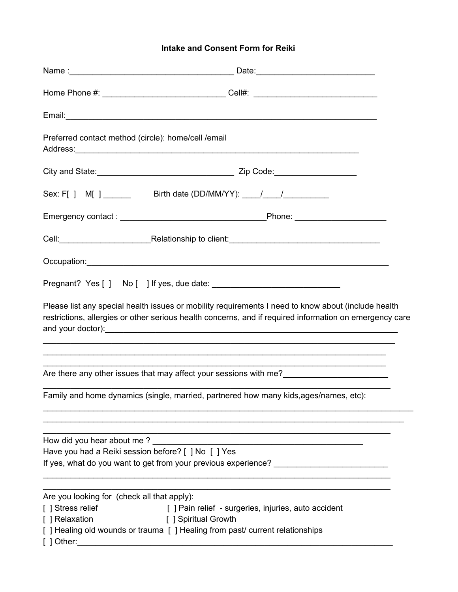## **Intake and Consent Form for Reiki**

|                                                                                                                                                                                           | Home Phone #: __________________________________Cell#: _________________________                                                                                                                                                                                                                    |
|-------------------------------------------------------------------------------------------------------------------------------------------------------------------------------------------|-----------------------------------------------------------------------------------------------------------------------------------------------------------------------------------------------------------------------------------------------------------------------------------------------------|
|                                                                                                                                                                                           |                                                                                                                                                                                                                                                                                                     |
| Preferred contact method (circle): home/cell /email                                                                                                                                       |                                                                                                                                                                                                                                                                                                     |
|                                                                                                                                                                                           |                                                                                                                                                                                                                                                                                                     |
| Sex: F[ ] M[ ] _________ Birth date (DD/MM/YY): ____/ ____/ _________                                                                                                                     |                                                                                                                                                                                                                                                                                                     |
|                                                                                                                                                                                           |                                                                                                                                                                                                                                                                                                     |
|                                                                                                                                                                                           |                                                                                                                                                                                                                                                                                                     |
|                                                                                                                                                                                           |                                                                                                                                                                                                                                                                                                     |
|                                                                                                                                                                                           |                                                                                                                                                                                                                                                                                                     |
|                                                                                                                                                                                           | Please list any special health issues or mobility requirements I need to know about (include health<br>restrictions, allergies or other serious health concerns, and if required information on emergency care<br>,我们也不能在这里的人,我们也不能在这里的人,我们也不能在这里的人,我们也不能在这里的人,我们也不能在这里的人,我们也不能在这里的人,我们也不能在这里的人,我们也 |
|                                                                                                                                                                                           | Are there any other issues that may affect your sessions with me?                                                                                                                                                                                                                                   |
| Family and home dynamics (single, married, partnered how many kids, ages/names, etc):                                                                                                     |                                                                                                                                                                                                                                                                                                     |
| How did you hear about me?<br>Have you had a Reiki session before? [ ] No [ ] Yes                                                                                                         | <u> 1989 - Johann John Stone, mars eta erromaniar eta erromania eta erromania eta erromania eta erromania eta err</u>                                                                                                                                                                               |
| Are you looking for (check all that apply):<br>[ ] Stress relief<br>[ ] Relaxation<br>[ ] Spiritual Growth<br>[] Healing old wounds or trauma [] Healing from past/ current relationships | [] Pain relief - surgeries, injuries, auto accident                                                                                                                                                                                                                                                 |